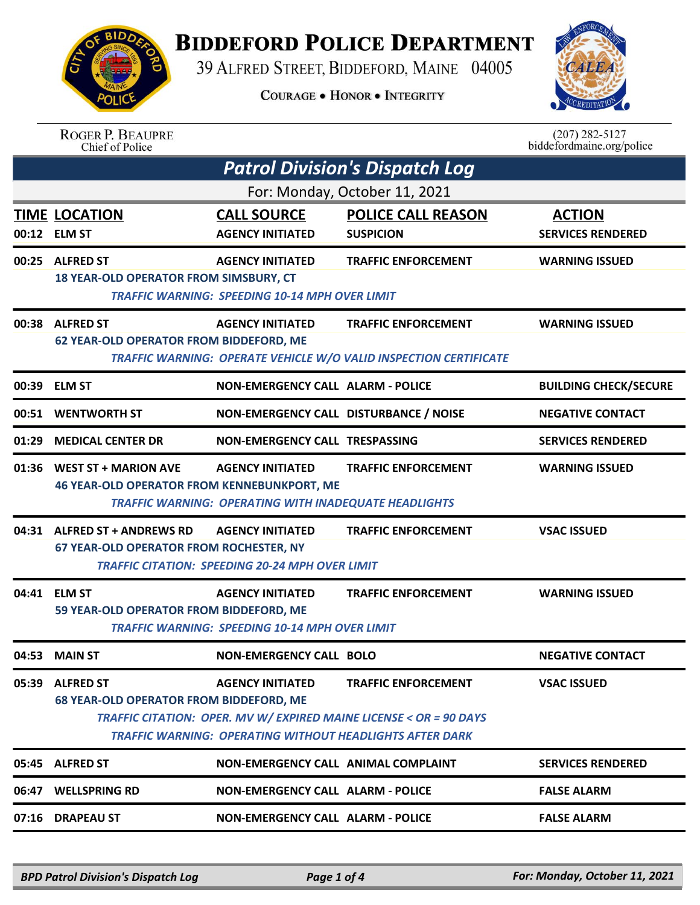

## **BIDDEFORD POLICE DEPARTMENT**

39 ALFRED STREET, BIDDEFORD, MAINE 04005

**COURAGE . HONOR . INTEGRITY** 



ROGER P. BEAUPRE<br>Chief of Police

 $(207)$  282-5127 biddefordmaine.org/police

| <b>Patrol Division's Dispatch Log</b> |                                                                                  |                                                                                         |                                                                                                                                                                     |                                           |  |  |
|---------------------------------------|----------------------------------------------------------------------------------|-----------------------------------------------------------------------------------------|---------------------------------------------------------------------------------------------------------------------------------------------------------------------|-------------------------------------------|--|--|
|                                       | For: Monday, October 11, 2021                                                    |                                                                                         |                                                                                                                                                                     |                                           |  |  |
|                                       | <b>TIME LOCATION</b><br>00:12 ELM ST                                             | <b>CALL SOURCE</b><br><b>AGENCY INITIATED</b>                                           | <b>POLICE CALL REASON</b><br><b>SUSPICION</b>                                                                                                                       | <b>ACTION</b><br><b>SERVICES RENDERED</b> |  |  |
|                                       | 00:25 ALFRED ST<br>18 YEAR-OLD OPERATOR FROM SIMSBURY, CT                        | <b>AGENCY INITIATED</b><br><b>TRAFFIC WARNING: SPEEDING 10-14 MPH OVER LIMIT</b>        | <b>TRAFFIC ENFORCEMENT</b>                                                                                                                                          | <b>WARNING ISSUED</b>                     |  |  |
|                                       | 00:38 ALFRED ST<br><b>62 YEAR-OLD OPERATOR FROM BIDDEFORD, ME</b>                | <b>AGENCY INITIATED</b>                                                                 | <b>TRAFFIC ENFORCEMENT</b><br>TRAFFIC WARNING: OPERATE VEHICLE W/O VALID INSPECTION CERTIFICATE                                                                     | <b>WARNING ISSUED</b>                     |  |  |
|                                       | 00:39 ELM ST                                                                     | <b>NON-EMERGENCY CALL ALARM - POLICE</b>                                                |                                                                                                                                                                     | <b>BUILDING CHECK/SECURE</b>              |  |  |
|                                       | 00:51 WENTWORTH ST                                                               | NON-EMERGENCY CALL DISTURBANCE / NOISE                                                  |                                                                                                                                                                     | <b>NEGATIVE CONTACT</b>                   |  |  |
|                                       | 01:29 MEDICAL CENTER DR                                                          | NON-EMERGENCY CALL TRESPASSING                                                          |                                                                                                                                                                     | <b>SERVICES RENDERED</b>                  |  |  |
|                                       | 01:36 WEST ST + MARION AVE<br><b>46 YEAR-OLD OPERATOR FROM KENNEBUNKPORT, ME</b> | <b>AGENCY INITIATED</b><br><b>TRAFFIC WARNING: OPERATING WITH INADEQUATE HEADLIGHTS</b> | <b>TRAFFIC ENFORCEMENT</b>                                                                                                                                          | <b>WARNING ISSUED</b>                     |  |  |
|                                       | 04:31 ALFRED ST + ANDREWS RD<br><b>67 YEAR-OLD OPERATOR FROM ROCHESTER, NY</b>   | <b>AGENCY INITIATED</b><br><b>TRAFFIC CITATION: SPEEDING 20-24 MPH OVER LIMIT</b>       | <b>TRAFFIC ENFORCEMENT</b>                                                                                                                                          | <b>VSAC ISSUED</b>                        |  |  |
|                                       | 04:41 ELM ST<br>59 YEAR-OLD OPERATOR FROM BIDDEFORD, ME                          | <b>AGENCY INITIATED</b><br><b>TRAFFIC WARNING: SPEEDING 10-14 MPH OVER LIMIT</b>        | <b>TRAFFIC ENFORCEMENT</b>                                                                                                                                          | <b>WARNING ISSUED</b>                     |  |  |
|                                       | 04:53 MAIN ST                                                                    | <b>NON-EMERGENCY CALL BOLO</b>                                                          |                                                                                                                                                                     | <b>NEGATIVE CONTACT</b>                   |  |  |
|                                       | 05:39 ALFRED ST<br><b>68 YEAR-OLD OPERATOR FROM BIDDEFORD, ME</b>                | <b>AGENCY INITIATED</b>                                                                 | <b>TRAFFIC ENFORCEMENT</b><br>TRAFFIC CITATION: OPER. MV W/ EXPIRED MAINE LICENSE < OR = 90 DAYS<br><b>TRAFFIC WARNING: OPERATING WITHOUT HEADLIGHTS AFTER DARK</b> | <b>VSAC ISSUED</b>                        |  |  |
|                                       | 05:45 ALFRED ST                                                                  | <b>NON-EMERGENCY CALL ANIMAL COMPLAINT</b>                                              |                                                                                                                                                                     | <b>SERVICES RENDERED</b>                  |  |  |
|                                       | 06:47 WELLSPRING RD                                                              | <b>NON-EMERGENCY CALL ALARM - POLICE</b>                                                |                                                                                                                                                                     | <b>FALSE ALARM</b>                        |  |  |
|                                       | 07:16 DRAPEAU ST                                                                 | <b>NON-EMERGENCY CALL ALARM - POLICE</b>                                                |                                                                                                                                                                     | <b>FALSE ALARM</b>                        |  |  |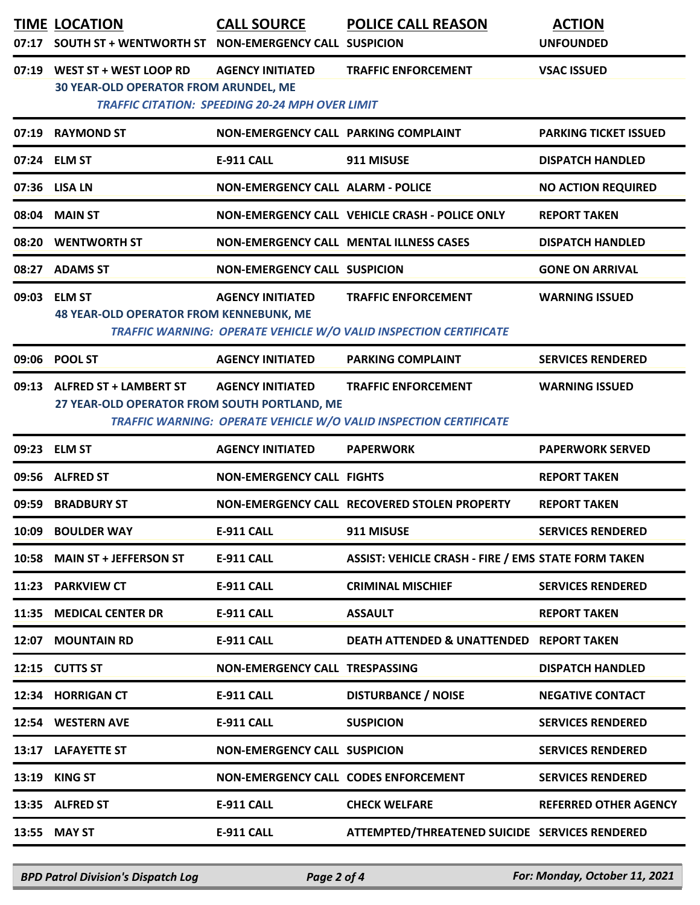|       | <b>TIME LOCATION</b><br>07:17 SOUTH ST + WENTWORTH ST NON-EMERGENCY CALL SUSPICION | <b>CALL SOURCE</b>                                                                | <b>POLICE CALL REASON</b>                                                                       | <b>ACTION</b><br><b>UNFOUNDED</b> |
|-------|------------------------------------------------------------------------------------|-----------------------------------------------------------------------------------|-------------------------------------------------------------------------------------------------|-----------------------------------|
|       | 07:19 WEST ST + WEST LOOP RD<br><b>30 YEAR-OLD OPERATOR FROM ARUNDEL, ME</b>       | <b>AGENCY INITIATED</b><br><b>TRAFFIC CITATION: SPEEDING 20-24 MPH OVER LIMIT</b> | <b>TRAFFIC ENFORCEMENT</b>                                                                      | <b>VSAC ISSUED</b>                |
|       | 07:19 RAYMOND ST                                                                   | NON-EMERGENCY CALL PARKING COMPLAINT                                              |                                                                                                 | <b>PARKING TICKET ISSUED</b>      |
|       | 07:24 ELM ST                                                                       | E-911 CALL                                                                        | 911 MISUSE                                                                                      | <b>DISPATCH HANDLED</b>           |
|       | 07:36 LISA LN                                                                      | <b>NON-EMERGENCY CALL ALARM - POLICE</b>                                          |                                                                                                 | <b>NO ACTION REQUIRED</b>         |
|       | 08:04 MAIN ST                                                                      |                                                                                   | NON-EMERGENCY CALL VEHICLE CRASH - POLICE ONLY                                                  | <b>REPORT TAKEN</b>               |
|       | 08:20 WENTWORTH ST                                                                 |                                                                                   | NON-EMERGENCY CALL MENTAL ILLNESS CASES                                                         | <b>DISPATCH HANDLED</b>           |
|       | 08:27 ADAMS ST                                                                     | <b>NON-EMERGENCY CALL SUSPICION</b>                                               |                                                                                                 | <b>GONE ON ARRIVAL</b>            |
|       | 09:03 ELM ST<br><b>48 YEAR-OLD OPERATOR FROM KENNEBUNK, ME</b>                     | <b>AGENCY INITIATED</b>                                                           | <b>TRAFFIC ENFORCEMENT</b><br>TRAFFIC WARNING: OPERATE VEHICLE W/O VALID INSPECTION CERTIFICATE | <b>WARNING ISSUED</b>             |
|       | 09:06 POOL ST                                                                      | <b>AGENCY INITIATED</b>                                                           | <b>PARKING COMPLAINT</b>                                                                        | <b>SERVICES RENDERED</b>          |
|       | 09:13 ALFRED ST + LAMBERT ST<br>27 YEAR-OLD OPERATOR FROM SOUTH PORTLAND, ME       | <b>AGENCY INITIATED</b>                                                           | <b>TRAFFIC ENFORCEMENT</b><br>TRAFFIC WARNING: OPERATE VEHICLE W/O VALID INSPECTION CERTIFICATE | <b>WARNING ISSUED</b>             |
|       | 09:23 ELM ST                                                                       | <b>AGENCY INITIATED</b>                                                           | <b>PAPERWORK</b>                                                                                | <b>PAPERWORK SERVED</b>           |
|       | 09:56 ALFRED ST                                                                    | <b>NON-EMERGENCY CALL FIGHTS</b>                                                  |                                                                                                 | <b>REPORT TAKEN</b>               |
| 09:59 | <b>BRADBURY ST</b>                                                                 |                                                                                   | NON-EMERGENCY CALL RECOVERED STOLEN PROPERTY                                                    | <b>REPORT TAKEN</b>               |
| 10:09 | <b>BOULDER WAY</b>                                                                 | <b>E-911 CALL</b>                                                                 | 911 MISUSE                                                                                      | <b>SERVICES RENDERED</b>          |
| 10:58 | <b>MAIN ST + JEFFERSON ST</b>                                                      | <b>E-911 CALL</b>                                                                 | <b>ASSIST: VEHICLE CRASH - FIRE / EMS STATE FORM TAKEN</b>                                      |                                   |
|       | 11:23 PARKVIEW CT                                                                  | <b>E-911 CALL</b>                                                                 | <b>CRIMINAL MISCHIEF</b>                                                                        | <b>SERVICES RENDERED</b>          |
| 11:35 | <b>MEDICAL CENTER DR</b>                                                           | <b>E-911 CALL</b>                                                                 | <b>ASSAULT</b>                                                                                  | <b>REPORT TAKEN</b>               |
| 12:07 | <b>MOUNTAIN RD</b>                                                                 | <b>E-911 CALL</b>                                                                 | DEATH ATTENDED & UNATTENDED REPORT TAKEN                                                        |                                   |
|       | 12:15 CUTTS ST                                                                     | <b>NON-EMERGENCY CALL TRESPASSING</b>                                             |                                                                                                 | <b>DISPATCH HANDLED</b>           |
|       | 12:34 HORRIGAN CT                                                                  | <b>E-911 CALL</b>                                                                 | <b>DISTURBANCE / NOISE</b>                                                                      | <b>NEGATIVE CONTACT</b>           |
|       | 12:54 WESTERN AVE                                                                  | E-911 CALL                                                                        | <b>SUSPICION</b>                                                                                | <b>SERVICES RENDERED</b>          |
|       | 13:17 LAFAYETTE ST                                                                 | <b>NON-EMERGENCY CALL SUSPICION</b>                                               |                                                                                                 | <b>SERVICES RENDERED</b>          |
| 13:19 | <b>KING ST</b>                                                                     | NON-EMERGENCY CALL CODES ENFORCEMENT                                              |                                                                                                 | <b>SERVICES RENDERED</b>          |
|       | 13:35 ALFRED ST                                                                    | E-911 CALL                                                                        | <b>CHECK WELFARE</b>                                                                            | <b>REFERRED OTHER AGENCY</b>      |
|       | 13:55 MAY ST                                                                       | E-911 CALL                                                                        | ATTEMPTED/THREATENED SUICIDE SERVICES RENDERED                                                  |                                   |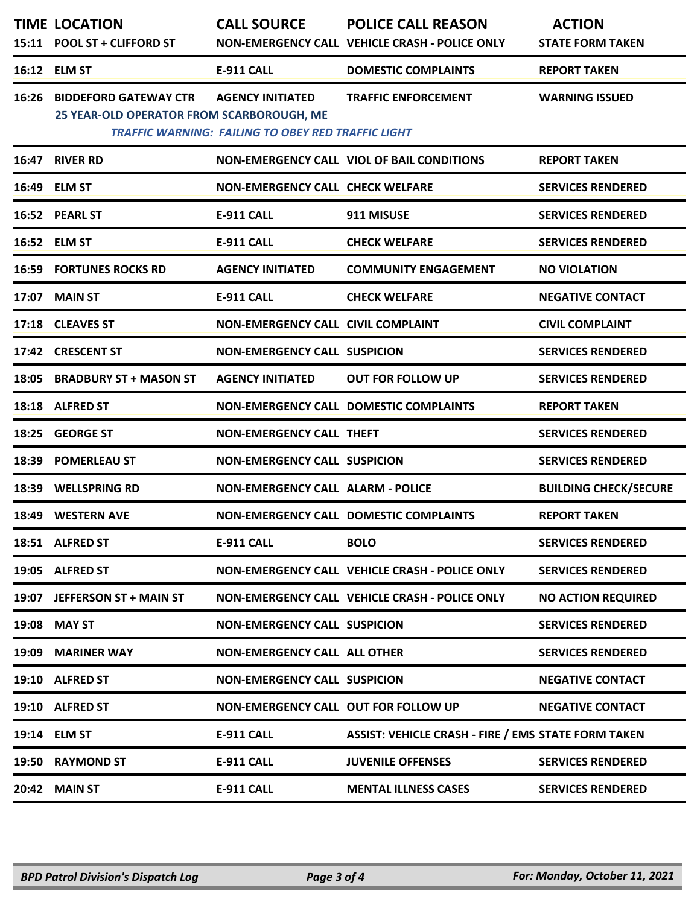|       | <b>TIME LOCATION</b><br>15:11 POOL ST + CLIFFORD ST                       | <b>CALL SOURCE</b>                                                                   | <b>POLICE CALL REASON</b><br>NON-EMERGENCY CALL VEHICLE CRASH - POLICE ONLY | <b>ACTION</b><br><b>STATE FORM TAKEN</b> |
|-------|---------------------------------------------------------------------------|--------------------------------------------------------------------------------------|-----------------------------------------------------------------------------|------------------------------------------|
|       | 16:12 ELM ST                                                              | <b>E-911 CALL</b>                                                                    | <b>DOMESTIC COMPLAINTS</b>                                                  | <b>REPORT TAKEN</b>                      |
| 16:26 | <b>BIDDEFORD GATEWAY CTR</b><br>25 YEAR-OLD OPERATOR FROM SCARBOROUGH, ME | <b>AGENCY INITIATED</b><br><b>TRAFFIC WARNING: FAILING TO OBEY RED TRAFFIC LIGHT</b> | <b>TRAFFIC ENFORCEMENT</b>                                                  | <b>WARNING ISSUED</b>                    |
|       | 16:47 RIVER RD                                                            |                                                                                      | NON-EMERGENCY CALL VIOL OF BAIL CONDITIONS                                  | <b>REPORT TAKEN</b>                      |
|       | 16:49 ELM ST                                                              | <b>NON-EMERGENCY CALL CHECK WELFARE</b>                                              |                                                                             | <b>SERVICES RENDERED</b>                 |
|       | 16:52 PEARL ST                                                            | <b>E-911 CALL</b>                                                                    | 911 MISUSE                                                                  | <b>SERVICES RENDERED</b>                 |
|       | 16:52 ELM ST                                                              | <b>E-911 CALL</b>                                                                    | <b>CHECK WELFARE</b>                                                        | <b>SERVICES RENDERED</b>                 |
|       | <b>16:59 FORTUNES ROCKS RD</b>                                            | <b>AGENCY INITIATED</b>                                                              | <b>COMMUNITY ENGAGEMENT</b>                                                 | <b>NO VIOLATION</b>                      |
|       | 17:07 MAIN ST                                                             | <b>E-911 CALL</b>                                                                    | <b>CHECK WELFARE</b>                                                        | <b>NEGATIVE CONTACT</b>                  |
|       | 17:18 CLEAVES ST                                                          | NON-EMERGENCY CALL CIVIL COMPLAINT                                                   |                                                                             | <b>CIVIL COMPLAINT</b>                   |
|       | 17:42 CRESCENT ST                                                         | <b>NON-EMERGENCY CALL SUSPICION</b>                                                  |                                                                             | <b>SERVICES RENDERED</b>                 |
| 18:05 | <b>BRADBURY ST + MASON ST</b>                                             | <b>AGENCY INITIATED</b>                                                              | <b>OUT FOR FOLLOW UP</b>                                                    | <b>SERVICES RENDERED</b>                 |
|       | 18:18 ALFRED ST                                                           |                                                                                      | NON-EMERGENCY CALL DOMESTIC COMPLAINTS                                      | <b>REPORT TAKEN</b>                      |
| 18:25 | <b>GEORGE ST</b>                                                          | <b>NON-EMERGENCY CALL THEFT</b>                                                      |                                                                             | <b>SERVICES RENDERED</b>                 |
| 18:39 | <b>POMERLEAU ST</b>                                                       | <b>NON-EMERGENCY CALL SUSPICION</b>                                                  |                                                                             | <b>SERVICES RENDERED</b>                 |
| 18:39 | <b>WELLSPRING RD</b>                                                      | <b>NON-EMERGENCY CALL ALARM - POLICE</b>                                             |                                                                             | <b>BUILDING CHECK/SECURE</b>             |
|       | 18:49 WESTERN AVE                                                         |                                                                                      | NON-EMERGENCY CALL DOMESTIC COMPLAINTS                                      | <b>REPORT TAKEN</b>                      |
|       | 18:51 ALFRED ST                                                           | <b>E-911 CALL</b>                                                                    | <b>BOLO</b>                                                                 | <b>SERVICES RENDERED</b>                 |
|       | 19:05 ALFRED ST                                                           |                                                                                      | NON-EMERGENCY CALL VEHICLE CRASH - POLICE ONLY                              | <b>SERVICES RENDERED</b>                 |
|       | 19:07 JEFFERSON ST + MAIN ST                                              |                                                                                      | NON-EMERGENCY CALL VEHICLE CRASH - POLICE ONLY                              | <b>NO ACTION REQUIRED</b>                |
|       | 19:08 MAY ST                                                              | <b>NON-EMERGENCY CALL SUSPICION</b>                                                  |                                                                             | <b>SERVICES RENDERED</b>                 |
| 19:09 | <b>MARINER WAY</b>                                                        | <b>NON-EMERGENCY CALL ALL OTHER</b>                                                  |                                                                             | <b>SERVICES RENDERED</b>                 |
|       | 19:10 ALFRED ST                                                           | <b>NON-EMERGENCY CALL SUSPICION</b>                                                  |                                                                             | <b>NEGATIVE CONTACT</b>                  |
|       | 19:10 ALFRED ST                                                           | NON-EMERGENCY CALL OUT FOR FOLLOW UP                                                 |                                                                             | <b>NEGATIVE CONTACT</b>                  |
|       | 19:14 ELM ST                                                              | <b>E-911 CALL</b>                                                                    | <b>ASSIST: VEHICLE CRASH - FIRE / EMS STATE FORM TAKEN</b>                  |                                          |
|       | 19:50 RAYMOND ST                                                          | <b>E-911 CALL</b>                                                                    | <b>JUVENILE OFFENSES</b>                                                    | <b>SERVICES RENDERED</b>                 |
|       | 20:42 MAIN ST                                                             | <b>E-911 CALL</b>                                                                    | <b>MENTAL ILLNESS CASES</b>                                                 | <b>SERVICES RENDERED</b>                 |